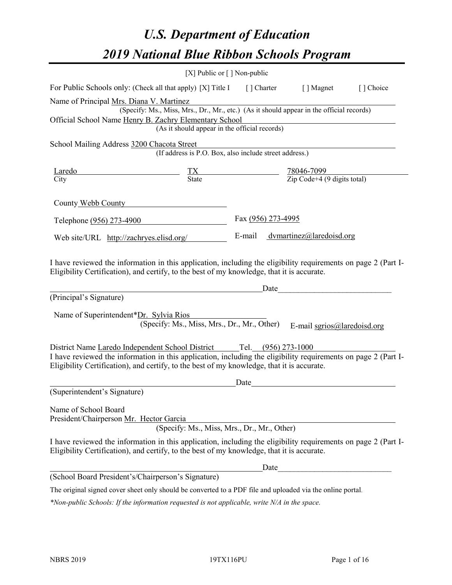# *U.S. Department of Education 2019 National Blue Ribbon Schools Program*

|                                                                                                                                                                                                                                                                                      | [X] Public or $\lceil$ ] Non-public                                     |                    |                                                                                                                                                                                                                                                              |           |
|--------------------------------------------------------------------------------------------------------------------------------------------------------------------------------------------------------------------------------------------------------------------------------------|-------------------------------------------------------------------------|--------------------|--------------------------------------------------------------------------------------------------------------------------------------------------------------------------------------------------------------------------------------------------------------|-----------|
| For Public Schools only: (Check all that apply) [X] Title I [] Charter [] Magnet                                                                                                                                                                                                     |                                                                         |                    |                                                                                                                                                                                                                                                              | [] Choice |
| Name of Principal Mrs. Diana V. Martinez<br>Official School Name Henry B. Zachry Elementary School                                                                                                                                                                                   | (As it should appear in the official records)                           |                    | (Specify: Ms., Miss, Mrs., Dr., Mr., etc.) (As it should appear in the official records)                                                                                                                                                                     |           |
| School Mailing Address 3200 Chacota Street                                                                                                                                                                                                                                           | nacota Street<br>(If address is P.O. Box, also include street address.) |                    |                                                                                                                                                                                                                                                              |           |
| $\frac{\text{Laredo}}{\text{City}}$ $\frac{\text{TX}}{\text{State}}$ $\frac{78046-7099}{\text{Zip Code}+4 (9 \text{ digits total})}$                                                                                                                                                 |                                                                         |                    |                                                                                                                                                                                                                                                              |           |
| County Webb County                                                                                                                                                                                                                                                                   |                                                                         |                    |                                                                                                                                                                                                                                                              |           |
| Telephone (956) 273-4900                                                                                                                                                                                                                                                             |                                                                         | Fax (956) 273-4995 |                                                                                                                                                                                                                                                              |           |
| Web site/URL http://zachryes.elisd.org/                                                                                                                                                                                                                                              |                                                                         |                    | E-mail dvmartinez@laredoisd.org                                                                                                                                                                                                                              |           |
| Eligibility Certification), and certify, to the best of my knowledge, that it is accurate.<br>(Principal's Signature)<br>Name of Superintendent*Dr. Sylvia Rios                                                                                                                      | (Specify: Ms., Miss, Mrs., Dr., Mr., Other)                             |                    | Date experience and the second service of the service of the service of the service of the service of the service of the service of the service of the service of the service of the service of the service of the service of<br>E-mail sgrios@laredoisd.org |           |
| District Name Laredo Independent School District Tel. (956) 273-1000<br>I have reviewed the information in this application, including the eligibility requirements on page 2 (Part I-<br>Eligibility Certification), and certify, to the best of my knowledge, that it is accurate. |                                                                         |                    |                                                                                                                                                                                                                                                              |           |
| (Superintendent's Signature)                                                                                                                                                                                                                                                         |                                                                         | Date               |                                                                                                                                                                                                                                                              |           |
| Name of School Board<br>President/Chairperson Mr. Hector Garcia                                                                                                                                                                                                                      | (Specify: Ms., Miss, Mrs., Dr., Mr., Other)                             |                    |                                                                                                                                                                                                                                                              |           |
| I have reviewed the information in this application, including the eligibility requirements on page 2 (Part I-<br>Eligibility Certification), and certify, to the best of my knowledge, that it is accurate.                                                                         |                                                                         |                    |                                                                                                                                                                                                                                                              |           |
|                                                                                                                                                                                                                                                                                      |                                                                         | Date               |                                                                                                                                                                                                                                                              |           |
| (School Board President's/Chairperson's Signature)                                                                                                                                                                                                                                   |                                                                         |                    |                                                                                                                                                                                                                                                              |           |
| The original signed cover sheet only should be converted to a PDF file and uploaded via the online portal.                                                                                                                                                                           |                                                                         |                    |                                                                                                                                                                                                                                                              |           |

*\*Non-public Schools: If the information requested is not applicable, write N/A in the space.*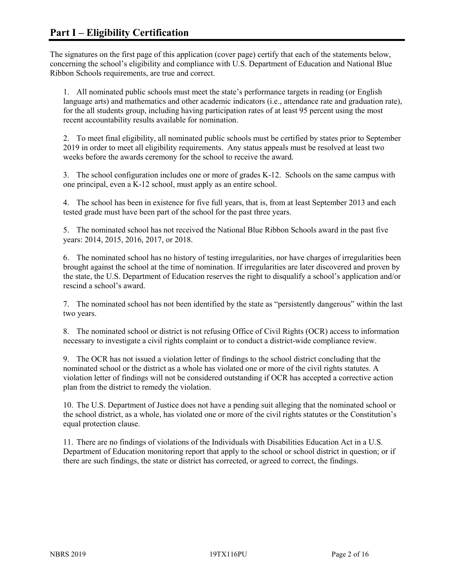The signatures on the first page of this application (cover page) certify that each of the statements below, concerning the school's eligibility and compliance with U.S. Department of Education and National Blue Ribbon Schools requirements, are true and correct.

1. All nominated public schools must meet the state's performance targets in reading (or English language arts) and mathematics and other academic indicators (i.e., attendance rate and graduation rate), for the all students group, including having participation rates of at least 95 percent using the most recent accountability results available for nomination.

2. To meet final eligibility, all nominated public schools must be certified by states prior to September 2019 in order to meet all eligibility requirements. Any status appeals must be resolved at least two weeks before the awards ceremony for the school to receive the award.

3. The school configuration includes one or more of grades K-12. Schools on the same campus with one principal, even a K-12 school, must apply as an entire school.

4. The school has been in existence for five full years, that is, from at least September 2013 and each tested grade must have been part of the school for the past three years.

5. The nominated school has not received the National Blue Ribbon Schools award in the past five years: 2014, 2015, 2016, 2017, or 2018.

6. The nominated school has no history of testing irregularities, nor have charges of irregularities been brought against the school at the time of nomination. If irregularities are later discovered and proven by the state, the U.S. Department of Education reserves the right to disqualify a school's application and/or rescind a school's award.

7. The nominated school has not been identified by the state as "persistently dangerous" within the last two years.

8. The nominated school or district is not refusing Office of Civil Rights (OCR) access to information necessary to investigate a civil rights complaint or to conduct a district-wide compliance review.

9. The OCR has not issued a violation letter of findings to the school district concluding that the nominated school or the district as a whole has violated one or more of the civil rights statutes. A violation letter of findings will not be considered outstanding if OCR has accepted a corrective action plan from the district to remedy the violation.

10. The U.S. Department of Justice does not have a pending suit alleging that the nominated school or the school district, as a whole, has violated one or more of the civil rights statutes or the Constitution's equal protection clause.

11. There are no findings of violations of the Individuals with Disabilities Education Act in a U.S. Department of Education monitoring report that apply to the school or school district in question; or if there are such findings, the state or district has corrected, or agreed to correct, the findings.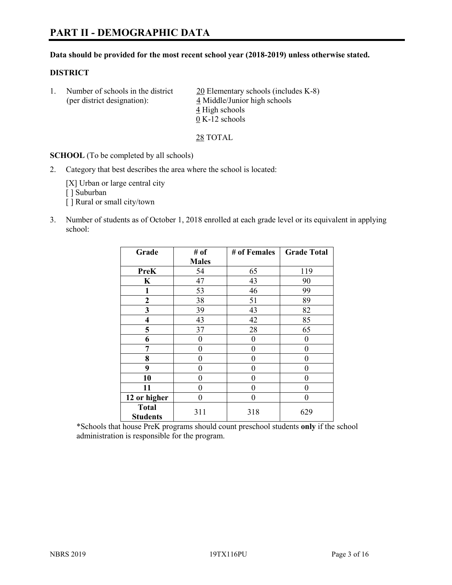#### **Data should be provided for the most recent school year (2018-2019) unless otherwise stated.**

#### **DISTRICT**

1. Number of schools in the district  $20$  Elementary schools (includes K-8) (per district designation): 4 Middle/Junior high schools 4 High schools 0 K-12 schools

28 TOTAL

**SCHOOL** (To be completed by all schools)

2. Category that best describes the area where the school is located:

[X] Urban or large central city [ ] Suburban [] Rural or small city/town

3. Number of students as of October 1, 2018 enrolled at each grade level or its equivalent in applying school:

| Grade           | # of         | # of Females   | <b>Grade Total</b> |
|-----------------|--------------|----------------|--------------------|
|                 | <b>Males</b> |                |                    |
| <b>PreK</b>     | 54           | 65             | 119                |
| K               | 47           | 43             | 90                 |
| 1               | 53           | 46             | 99                 |
| 2               | 38           | 51             | 89                 |
| 3               | 39           | 43             | 82                 |
| 4               | 43           | 42             | 85                 |
| 5               | 37           | 28             | 65                 |
| 6               | $\theta$     | $\theta$       | 0                  |
| 7               | 0            | $\theta$       | 0                  |
| 8               | 0            | $\overline{0}$ | 0                  |
| 9               | 0            | $\theta$       | 0                  |
| 10              | 0            | $\theta$       | 0                  |
| 11              | 0            | $\theta$       | 0                  |
| 12 or higher    | 0            | $\theta$       | 0                  |
| <b>Total</b>    | 311          | 318            | 629                |
| <b>Students</b> |              |                |                    |

\*Schools that house PreK programs should count preschool students **only** if the school administration is responsible for the program.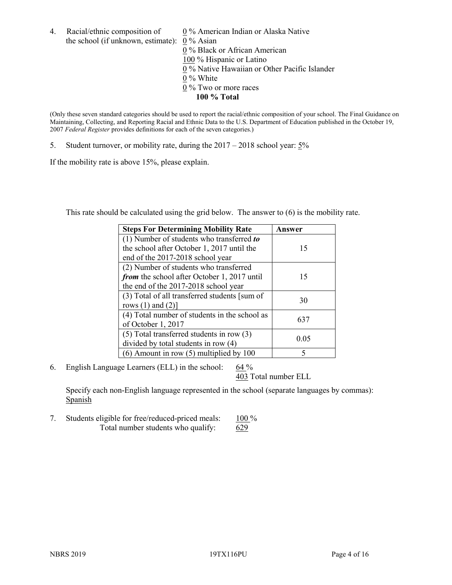- 4. Racial/ethnic composition of  $0\%$  American Indian or Alaska Native the school (if unknown, estimate): 0 % Asian 0 % Black or African American 100 % Hispanic or Latino  $\overline{0\%}$  Native Hawaiian or Other Pacific Islander 0 % White 0 % Two or more races
	- **100 % Total**

(Only these seven standard categories should be used to report the racial/ethnic composition of your school. The Final Guidance on Maintaining, Collecting, and Reporting Racial and Ethnic Data to the U.S. Department of Education published in the October 19, 2007 *Federal Register* provides definitions for each of the seven categories.)

5. Student turnover, or mobility rate, during the 2017 – 2018 school year: 5%

If the mobility rate is above 15%, please explain.

This rate should be calculated using the grid below. The answer to (6) is the mobility rate.

| <b>Steps For Determining Mobility Rate</b>    | Answer |
|-----------------------------------------------|--------|
| (1) Number of students who transferred to     |        |
| the school after October 1, 2017 until the    | 15     |
| end of the 2017-2018 school year              |        |
| (2) Number of students who transferred        |        |
| from the school after October 1, 2017 until   | 15     |
| the end of the 2017-2018 school year          |        |
| (3) Total of all transferred students [sum of | 30     |
| rows $(1)$ and $(2)$ ]                        |        |
| (4) Total number of students in the school as | 637    |
| of October 1, 2017                            |        |
| $(5)$ Total transferred students in row $(3)$ | 0.05   |
| divided by total students in row (4)          |        |
| $(6)$ Amount in row $(5)$ multiplied by 100   | 5      |

6. English Language Learners (ELL) in the school:  $64\%$ 

403 Total number ELL

Specify each non-English language represented in the school (separate languages by commas): **Spanish** 

7. Students eligible for free/reduced-priced meals: 100 % Total number students who qualify: 629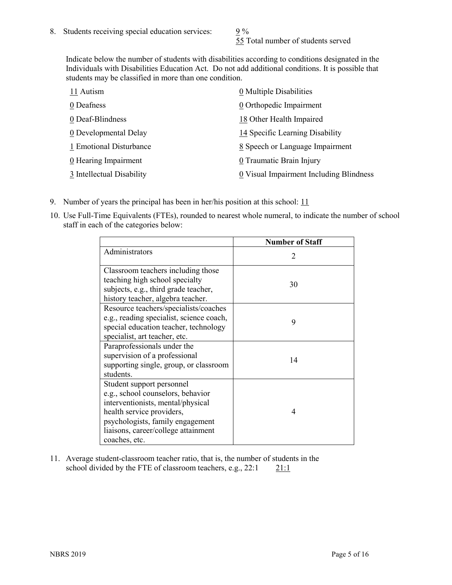55 Total number of students served

Indicate below the number of students with disabilities according to conditions designated in the Individuals with Disabilities Education Act. Do not add additional conditions. It is possible that students may be classified in more than one condition.

| 11 Autism                          | 0 Multiple Disabilities                 |
|------------------------------------|-----------------------------------------|
| 0 Deafness                         | 0 Orthopedic Impairment                 |
| 0 Deaf-Blindness                   | 18 Other Health Impaired                |
| 0 Developmental Delay              | 14 Specific Learning Disability         |
| 1 Emotional Disturbance            | 8 Speech or Language Impairment         |
| $\underline{0}$ Hearing Impairment | 0 Traumatic Brain Injury                |
| 3 Intellectual Disability          | 0 Visual Impairment Including Blindness |

- 9. Number of years the principal has been in her/his position at this school:  $11$
- 10. Use Full-Time Equivalents (FTEs), rounded to nearest whole numeral, to indicate the number of school staff in each of the categories below:

|                                                                                                                                                                                                                              | <b>Number of Staff</b>      |
|------------------------------------------------------------------------------------------------------------------------------------------------------------------------------------------------------------------------------|-----------------------------|
| Administrators                                                                                                                                                                                                               | $\mathcal{D}_{\mathcal{A}}$ |
| Classroom teachers including those<br>teaching high school specialty<br>subjects, e.g., third grade teacher,<br>history teacher, algebra teacher.                                                                            | 30                          |
| Resource teachers/specialists/coaches<br>e.g., reading specialist, science coach,<br>special education teacher, technology<br>specialist, art teacher, etc.                                                                  | 9                           |
| Paraprofessionals under the<br>supervision of a professional<br>supporting single, group, or classroom<br>students.                                                                                                          | 14                          |
| Student support personnel<br>e.g., school counselors, behavior<br>interventionists, mental/physical<br>health service providers,<br>psychologists, family engagement<br>liaisons, career/college attainment<br>coaches, etc. | 4                           |

11. Average student-classroom teacher ratio, that is, the number of students in the school divided by the FTE of classroom teachers, e.g.,  $22:1$  21:1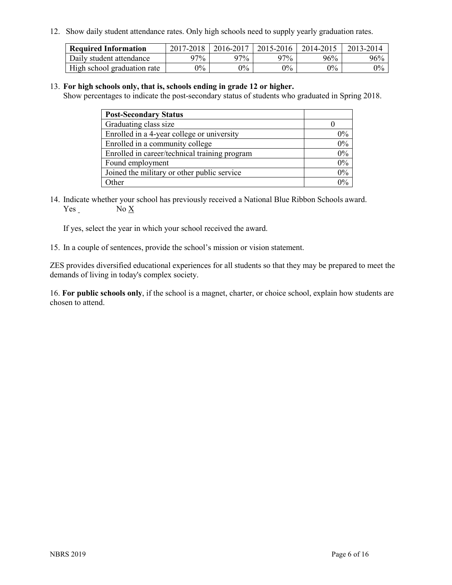12. Show daily student attendance rates. Only high schools need to supply yearly graduation rates.

| <b>Required Information</b> | $2017 - 2018$ | 2016-2017 | 2015-2016 | 2014-2015 | 2013-2014 |
|-----------------------------|---------------|-----------|-----------|-----------|-----------|
| Daily student attendance    | 97%           | 97%       | 97%       | 96%       | 96%       |
| High school graduation rate | $0\%$         | $0\%$     | $0\%$     | $9\%$     | $0\%$     |

#### 13. **For high schools only, that is, schools ending in grade 12 or higher.**

Show percentages to indicate the post-secondary status of students who graduated in Spring 2018.

| <b>Post-Secondary Status</b>                  |       |
|-----------------------------------------------|-------|
| Graduating class size                         |       |
| Enrolled in a 4-year college or university    | $0\%$ |
| Enrolled in a community college               | 0%    |
| Enrolled in career/technical training program | 0%    |
| Found employment                              | 0%    |
| Joined the military or other public service   | 0%    |
| Other                                         | በ‰    |

14. Indicate whether your school has previously received a National Blue Ribbon Schools award. Yes No X

If yes, select the year in which your school received the award.

15. In a couple of sentences, provide the school's mission or vision statement.

ZES provides diversified educational experiences for all students so that they may be prepared to meet the demands of living in today's complex society.

16. **For public schools only**, if the school is a magnet, charter, or choice school, explain how students are chosen to attend.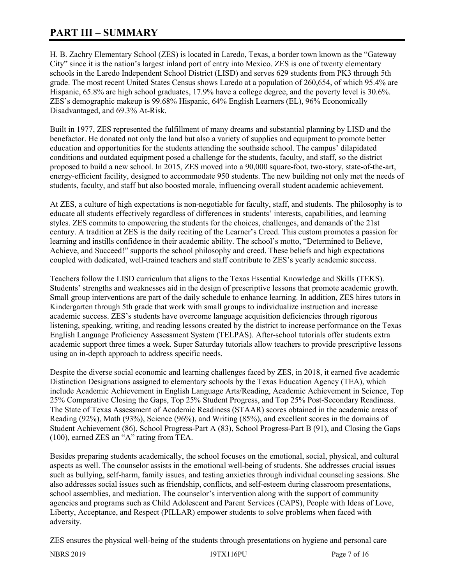# **PART III – SUMMARY**

H. B. Zachry Elementary School (ZES) is located in Laredo, Texas, a border town known as the "Gateway City" since it is the nation's largest inland port of entry into Mexico. ZES is one of twenty elementary schools in the Laredo Independent School District (LISD) and serves 629 students from PK3 through 5th grade. The most recent United States Census shows Laredo at a population of 260,654, of which 95.4% are Hispanic, 65.8% are high school graduates, 17.9% have a college degree, and the poverty level is 30.6%. ZES's demographic makeup is 99.68% Hispanic, 64% English Learners (EL), 96% Economically Disadvantaged, and 69.3% At-Risk.

Built in 1977, ZES represented the fulfillment of many dreams and substantial planning by LISD and the benefactor. He donated not only the land but also a variety of supplies and equipment to promote better education and opportunities for the students attending the southside school. The campus' dilapidated conditions and outdated equipment posed a challenge for the students, faculty, and staff, so the district proposed to build a new school. In 2015, ZES moved into a 90,000 square-foot, two-story, state-of-the-art, energy-efficient facility, designed to accommodate 950 students. The new building not only met the needs of students, faculty, and staff but also boosted morale, influencing overall student academic achievement.

At ZES, a culture of high expectations is non-negotiable for faculty, staff, and students. The philosophy is to educate all students effectively regardless of differences in students' interests, capabilities, and learning styles. ZES commits to empowering the students for the choices, challenges, and demands of the 21st century. A tradition at ZES is the daily reciting of the Learner's Creed. This custom promotes a passion for learning and instills confidence in their academic ability. The school's motto, "Determined to Believe, Achieve, and Succeed!" supports the school philosophy and creed. These beliefs and high expectations coupled with dedicated, well-trained teachers and staff contribute to ZES's yearly academic success.

Teachers follow the LISD curriculum that aligns to the Texas Essential Knowledge and Skills (TEKS). Students' strengths and weaknesses aid in the design of prescriptive lessons that promote academic growth. Small group interventions are part of the daily schedule to enhance learning. In addition, ZES hires tutors in Kindergarten through 5th grade that work with small groups to individualize instruction and increase academic success. ZES's students have overcome language acquisition deficiencies through rigorous listening, speaking, writing, and reading lessons created by the district to increase performance on the Texas English Language Proficiency Assessment System (TELPAS). After-school tutorials offer students extra academic support three times a week. Super Saturday tutorials allow teachers to provide prescriptive lessons using an in-depth approach to address specific needs.

Despite the diverse social economic and learning challenges faced by ZES, in 2018, it earned five academic Distinction Designations assigned to elementary schools by the Texas Education Agency (TEA), which include Academic Achievement in English Language Arts/Reading, Academic Achievement in Science, Top 25% Comparative Closing the Gaps, Top 25% Student Progress, and Top 25% Post-Secondary Readiness. The State of Texas Assessment of Academic Readiness (STAAR) scores obtained in the academic areas of Reading (92%), Math (93%), Science (96%), and Writing (85%), and excellent scores in the domains of Student Achievement (86), School Progress-Part A (83), School Progress-Part B (91), and Closing the Gaps (100), earned ZES an "A" rating from TEA.

Besides preparing students academically, the school focuses on the emotional, social, physical, and cultural aspects as well. The counselor assists in the emotional well-being of students. She addresses crucial issues such as bullying, self-harm, family issues, and testing anxieties through individual counseling sessions. She also addresses social issues such as friendship, conflicts, and self-esteem during classroom presentations, school assemblies, and mediation. The counselor's intervention along with the support of community agencies and programs such as Child Adolescent and Parent Services (CAPS), People with Ideas of Love, Liberty, Acceptance, and Respect (PILLAR) empower students to solve problems when faced with adversity.

ZES ensures the physical well-being of the students through presentations on hygiene and personal care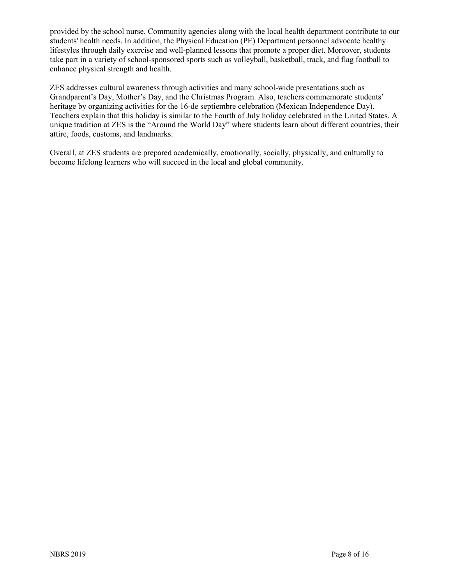provided by the school nurse. Community agencies along with the local health department contribute to our students' health needs. In addition, the Physical Education (PE) Department personnel advocate healthy lifestyles through daily exercise and well-planned lessons that promote a proper diet. Moreover, students take part in a variety of school-sponsored sports such as volleyball, basketball, track, and flag football to enhance physical strength and health.

ZES addresses cultural awareness through activities and many school-wide presentations such as Grandparent's Day, Mother's Day, and the Christmas Program. Also, teachers commemorate students' heritage by organizing activities for the 16-de septiembre celebration (Mexican Independence Day). Teachers explain that this holiday is similar to the Fourth of July holiday celebrated in the United States. A unique tradition at ZES is the "Around the World Day" where students learn about different countries, their attire, foods, customs, and landmarks.

Overall, at ZES students are prepared academically, emotionally, socially, physically, and culturally to become lifelong learners who will succeed in the local and global community.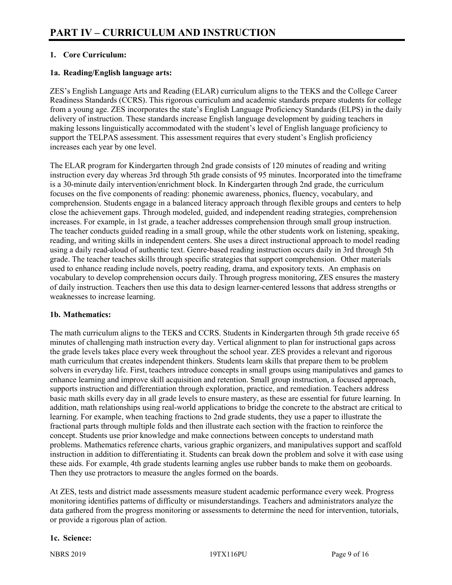# **1. Core Curriculum:**

# **1a. Reading/English language arts:**

ZES's English Language Arts and Reading (ELAR) curriculum aligns to the TEKS and the College Career Readiness Standards (CCRS). This rigorous curriculum and academic standards prepare students for college from a young age. ZES incorporates the state's English Language Proficiency Standards (ELPS) in the daily delivery of instruction. These standards increase English language development by guiding teachers in making lessons linguistically accommodated with the student's level of English language proficiency to support the TELPAS assessment. This assessment requires that every student's English proficiency increases each year by one level.

The ELAR program for Kindergarten through 2nd grade consists of 120 minutes of reading and writing instruction every day whereas 3rd through 5th grade consists of 95 minutes. Incorporated into the timeframe is a 30-minute daily intervention/enrichment block. In Kindergarten through 2nd grade, the curriculum focuses on the five components of reading: phonemic awareness, phonics, fluency, vocabulary, and comprehension. Students engage in a balanced literacy approach through flexible groups and centers to help close the achievement gaps. Through modeled, guided, and independent reading strategies, comprehension increases. For example, in 1st grade, a teacher addresses comprehension through small group instruction. The teacher conducts guided reading in a small group, while the other students work on listening, speaking, reading, and writing skills in independent centers. She uses a direct instructional approach to model reading using a daily read-aloud of authentic text. Genre-based reading instruction occurs daily in 3rd through 5th grade. The teacher teaches skills through specific strategies that support comprehension. Other materials used to enhance reading include novels, poetry reading, drama, and expository texts. An emphasis on vocabulary to develop comprehension occurs daily. Through progress monitoring, ZES ensures the mastery of daily instruction. Teachers then use this data to design learner-centered lessons that address strengths or weaknesses to increase learning.

#### **1b. Mathematics:**

The math curriculum aligns to the TEKS and CCRS. Students in Kindergarten through 5th grade receive 65 minutes of challenging math instruction every day. Vertical alignment to plan for instructional gaps across the grade levels takes place every week throughout the school year. ZES provides a relevant and rigorous math curriculum that creates independent thinkers. Students learn skills that prepare them to be problem solvers in everyday life. First, teachers introduce concepts in small groups using manipulatives and games to enhance learning and improve skill acquisition and retention. Small group instruction, a focused approach, supports instruction and differentiation through exploration, practice, and remediation. Teachers address basic math skills every day in all grade levels to ensure mastery, as these are essential for future learning. In addition, math relationships using real-world applications to bridge the concrete to the abstract are critical to learning. For example, when teaching fractions to 2nd grade students, they use a paper to illustrate the fractional parts through multiple folds and then illustrate each section with the fraction to reinforce the concept. Students use prior knowledge and make connections between concepts to understand math problems. Mathematics reference charts, various graphic organizers, and manipulatives support and scaffold instruction in addition to differentiating it. Students can break down the problem and solve it with ease using these aids. For example, 4th grade students learning angles use rubber bands to make them on geoboards. Then they use protractors to measure the angles formed on the boards.

At ZES, tests and district made assessments measure student academic performance every week. Progress monitoring identifies patterns of difficulty or misunderstandings. Teachers and administrators analyze the data gathered from the progress monitoring or assessments to determine the need for intervention, tutorials, or provide a rigorous plan of action.

# **1c. Science:**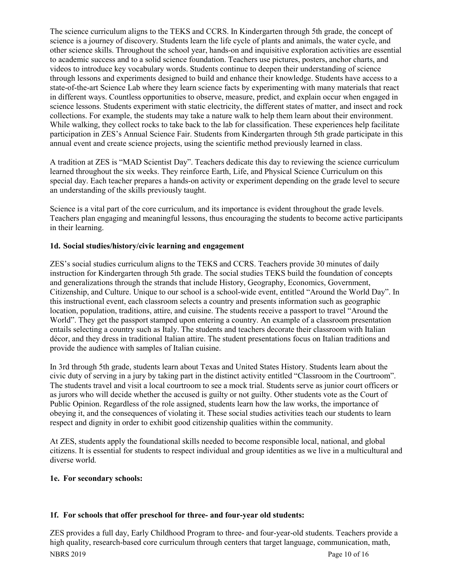The science curriculum aligns to the TEKS and CCRS. In Kindergarten through 5th grade, the concept of science is a journey of discovery. Students learn the life cycle of plants and animals, the water cycle, and other science skills. Throughout the school year, hands-on and inquisitive exploration activities are essential to academic success and to a solid science foundation. Teachers use pictures, posters, anchor charts, and videos to introduce key vocabulary words. Students continue to deepen their understanding of science through lessons and experiments designed to build and enhance their knowledge. Students have access to a state-of-the-art Science Lab where they learn science facts by experimenting with many materials that react in different ways. Countless opportunities to observe, measure, predict, and explain occur when engaged in science lessons. Students experiment with static electricity, the different states of matter, and insect and rock collections. For example, the students may take a nature walk to help them learn about their environment. While walking, they collect rocks to take back to the lab for classification. These experiences help facilitate participation in ZES's Annual Science Fair. Students from Kindergarten through 5th grade participate in this annual event and create science projects, using the scientific method previously learned in class.

A tradition at ZES is "MAD Scientist Day". Teachers dedicate this day to reviewing the science curriculum learned throughout the six weeks. They reinforce Earth, Life, and Physical Science Curriculum on this special day. Each teacher prepares a hands-on activity or experiment depending on the grade level to secure an understanding of the skills previously taught.

Science is a vital part of the core curriculum, and its importance is evident throughout the grade levels. Teachers plan engaging and meaningful lessons, thus encouraging the students to become active participants in their learning.

# **1d. Social studies/history/civic learning and engagement**

ZES's social studies curriculum aligns to the TEKS and CCRS. Teachers provide 30 minutes of daily instruction for Kindergarten through 5th grade. The social studies TEKS build the foundation of concepts and generalizations through the strands that include History, Geography, Economics, Government, Citizenship, and Culture. Unique to our school is a school-wide event, entitled "Around the World Day". In this instructional event, each classroom selects a country and presents information such as geographic location, population, traditions, attire, and cuisine. The students receive a passport to travel "Around the World". They get the passport stamped upon entering a country. An example of a classroom presentation entails selecting a country such as Italy. The students and teachers decorate their classroom with Italian décor, and they dress in traditional Italian attire. The student presentations focus on Italian traditions and provide the audience with samples of Italian cuisine.

In 3rd through 5th grade, students learn about Texas and United States History. Students learn about the civic duty of serving in a jury by taking part in the distinct activity entitled "Classroom in the Courtroom". The students travel and visit a local courtroom to see a mock trial. Students serve as junior court officers or as jurors who will decide whether the accused is guilty or not guilty. Other students vote as the Court of Public Opinion. Regardless of the role assigned, students learn how the law works, the importance of obeying it, and the consequences of violating it. These social studies activities teach our students to learn respect and dignity in order to exhibit good citizenship qualities within the community.

At ZES, students apply the foundational skills needed to become responsible local, national, and global citizens. It is essential for students to respect individual and group identities as we live in a multicultural and diverse world.

# **1e. For secondary schools:**

# **1f. For schools that offer preschool for three- and four-year old students:**

NBRS 2019 Page 10 of 16 ZES provides a full day, Early Childhood Program to three- and four-year-old students. Teachers provide a high quality, research-based core curriculum through centers that target language, communication, math,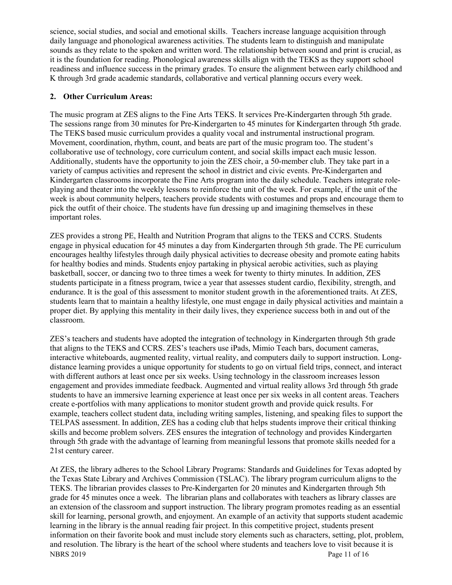science, social studies, and social and emotional skills. Teachers increase language acquisition through daily language and phonological awareness activities. The students learn to distinguish and manipulate sounds as they relate to the spoken and written word. The relationship between sound and print is crucial, as it is the foundation for reading. Phonological awareness skills align with the TEKS as they support school readiness and influence success in the primary grades. To ensure the alignment between early childhood and K through 3rd grade academic standards, collaborative and vertical planning occurs every week.

#### **2. Other Curriculum Areas:**

The music program at ZES aligns to the Fine Arts TEKS. It services Pre-Kindergarten through 5th grade. The sessions range from 30 minutes for Pre-Kindergarten to 45 minutes for Kindergarten through 5th grade. The TEKS based music curriculum provides a quality vocal and instrumental instructional program. Movement, coordination, rhythm, count, and beats are part of the music program too. The student's collaborative use of technology, core curriculum content, and social skills impact each music lesson. Additionally, students have the opportunity to join the ZES choir, a 50-member club. They take part in a variety of campus activities and represent the school in district and civic events. Pre-Kindergarten and Kindergarten classrooms incorporate the Fine Arts program into the daily schedule. Teachers integrate roleplaying and theater into the weekly lessons to reinforce the unit of the week. For example, if the unit of the week is about community helpers, teachers provide students with costumes and props and encourage them to pick the outfit of their choice. The students have fun dressing up and imagining themselves in these important roles.

ZES provides a strong PE, Health and Nutrition Program that aligns to the TEKS and CCRS. Students engage in physical education for 45 minutes a day from Kindergarten through 5th grade. The PE curriculum encourages healthy lifestyles through daily physical activities to decrease obesity and promote eating habits for healthy bodies and minds. Students enjoy partaking in physical aerobic activities, such as playing basketball, soccer, or dancing two to three times a week for twenty to thirty minutes. In addition, ZES students participate in a fitness program, twice a year that assesses student cardio, flexibility, strength, and endurance. It is the goal of this assessment to monitor student growth in the aforementioned traits. At ZES, students learn that to maintain a healthy lifestyle, one must engage in daily physical activities and maintain a proper diet. By applying this mentality in their daily lives, they experience success both in and out of the classroom.

ZES's teachers and students have adopted the integration of technology in Kindergarten through 5th grade that aligns to the TEKS and CCRS. ZES's teachers use iPads, Mimio Teach bars, document cameras, interactive whiteboards, augmented reality, virtual reality, and computers daily to support instruction. Longdistance learning provides a unique opportunity for students to go on virtual field trips, connect, and interact with different authors at least once per six weeks. Using technology in the classroom increases lesson engagement and provides immediate feedback. Augmented and virtual reality allows 3rd through 5th grade students to have an immersive learning experience at least once per six weeks in all content areas. Teachers create e-portfolios with many applications to monitor student growth and provide quick results. For example, teachers collect student data, including writing samples, listening, and speaking files to support the TELPAS assessment. In addition, ZES has a coding club that helps students improve their critical thinking skills and become problem solvers. ZES ensures the integration of technology and provides Kindergarten through 5th grade with the advantage of learning from meaningful lessons that promote skills needed for a 21st century career.

NBRS 2019 Page 11 of 16 At ZES, the library adheres to the School Library Programs: Standards and Guidelines for Texas adopted by the Texas State Library and Archives Commission (TSLAC). The library program curriculum aligns to the TEKS. The librarian provides classes to Pre-Kindergarten for 20 minutes and Kindergarten through 5th grade for 45 minutes once a week. The librarian plans and collaborates with teachers as library classes are an extension of the classroom and support instruction. The library program promotes reading as an essential skill for learning, personal growth, and enjoyment. An example of an activity that supports student academic learning in the library is the annual reading fair project. In this competitive project, students present information on their favorite book and must include story elements such as characters, setting, plot, problem, and resolution. The library is the heart of the school where students and teachers love to visit because it is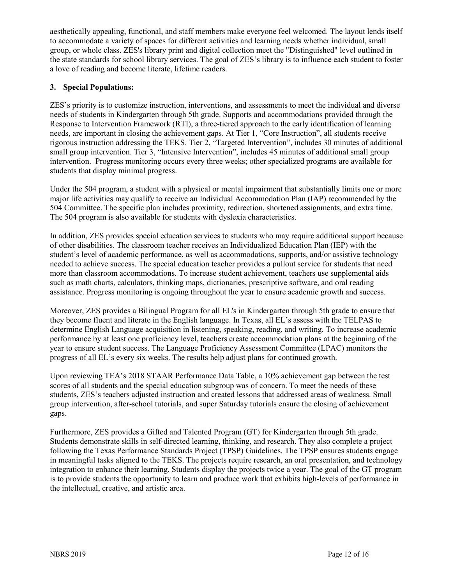aesthetically appealing, functional, and staff members make everyone feel welcomed. The layout lends itself to accommodate a variety of spaces for different activities and learning needs whether individual, small group, or whole class. ZES's library print and digital collection meet the "Distinguished" level outlined in the state standards for school library services. The goal of ZES's library is to influence each student to foster a love of reading and become literate, lifetime readers.

# **3. Special Populations:**

ZES's priority is to customize instruction, interventions, and assessments to meet the individual and diverse needs of students in Kindergarten through 5th grade. Supports and accommodations provided through the Response to Intervention Framework (RTI), a three-tiered approach to the early identification of learning needs, are important in closing the achievement gaps. At Tier 1, "Core Instruction", all students receive rigorous instruction addressing the TEKS. Tier 2, "Targeted Intervention", includes 30 minutes of additional small group intervention. Tier 3, "Intensive Intervention", includes 45 minutes of additional small group intervention. Progress monitoring occurs every three weeks; other specialized programs are available for students that display minimal progress.

Under the 504 program, a student with a physical or mental impairment that substantially limits one or more major life activities may qualify to receive an Individual Accommodation Plan (IAP) recommended by the 504 Committee. The specific plan includes proximity, redirection, shortened assignments, and extra time. The 504 program is also available for students with dyslexia characteristics.

In addition, ZES provides special education services to students who may require additional support because of other disabilities. The classroom teacher receives an Individualized Education Plan (IEP) with the student's level of academic performance, as well as accommodations, supports, and/or assistive technology needed to achieve success. The special education teacher provides a pullout service for students that need more than classroom accommodations. To increase student achievement, teachers use supplemental aids such as math charts, calculators, thinking maps, dictionaries, prescriptive software, and oral reading assistance. Progress monitoring is ongoing throughout the year to ensure academic growth and success.

Moreover, ZES provides a Bilingual Program for all EL's in Kindergarten through 5th grade to ensure that they become fluent and literate in the English language. In Texas, all EL's assess with the TELPAS to determine English Language acquisition in listening, speaking, reading, and writing. To increase academic performance by at least one proficiency level, teachers create accommodation plans at the beginning of the year to ensure student success. The Language Proficiency Assessment Committee (LPAC) monitors the progress of all EL's every six weeks. The results help adjust plans for continued growth.

Upon reviewing TEA's 2018 STAAR Performance Data Table, a 10% achievement gap between the test scores of all students and the special education subgroup was of concern. To meet the needs of these students, ZES's teachers adjusted instruction and created lessons that addressed areas of weakness. Small group intervention, after-school tutorials, and super Saturday tutorials ensure the closing of achievement gaps.

Furthermore, ZES provides a Gifted and Talented Program (GT) for Kindergarten through 5th grade. Students demonstrate skills in self-directed learning, thinking, and research. They also complete a project following the Texas Performance Standards Project (TPSP) Guidelines. The TPSP ensures students engage in meaningful tasks aligned to the TEKS. The projects require research, an oral presentation, and technology integration to enhance their learning. Students display the projects twice a year. The goal of the GT program is to provide students the opportunity to learn and produce work that exhibits high-levels of performance in the intellectual, creative, and artistic area.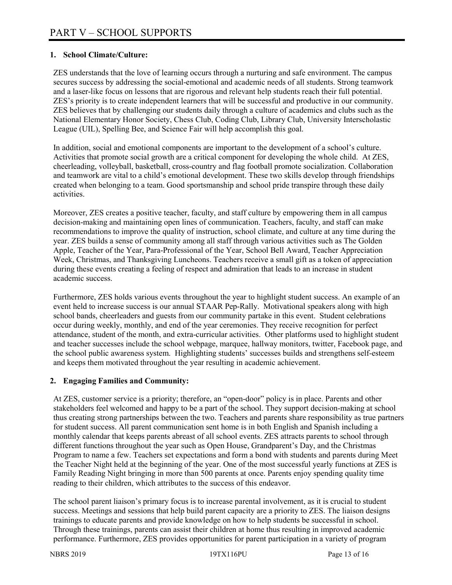#### **1. School Climate/Culture:**

ZES understands that the love of learning occurs through a nurturing and safe environment. The campus secures success by addressing the social-emotional and academic needs of all students. Strong teamwork and a laser-like focus on lessons that are rigorous and relevant help students reach their full potential. ZES's priority is to create independent learners that will be successful and productive in our community. ZES believes that by challenging our students daily through a culture of academics and clubs such as the National Elementary Honor Society, Chess Club, Coding Club, Library Club, University Interscholastic League (UIL), Spelling Bee, and Science Fair will help accomplish this goal.

In addition, social and emotional components are important to the development of a school's culture. Activities that promote social growth are a critical component for developing the whole child. At ZES, cheerleading, volleyball, basketball, cross-country and flag football promote socialization. Collaboration and teamwork are vital to a child's emotional development. These two skills develop through friendships created when belonging to a team. Good sportsmanship and school pride transpire through these daily activities.

Moreover, ZES creates a positive teacher, faculty, and staff culture by empowering them in all campus decision-making and maintaining open lines of communication. Teachers, faculty, and staff can make recommendations to improve the quality of instruction, school climate, and culture at any time during the year. ZES builds a sense of community among all staff through various activities such as The Golden Apple, Teacher of the Year, Para-Professional of the Year, School Bell Award, Teacher Appreciation Week, Christmas, and Thanksgiving Luncheons. Teachers receive a small gift as a token of appreciation during these events creating a feeling of respect and admiration that leads to an increase in student academic success.

Furthermore, ZES holds various events throughout the year to highlight student success. An example of an event held to increase success is our annual STAAR Pep-Rally. Motivational speakers along with high school bands, cheerleaders and guests from our community partake in this event. Student celebrations occur during weekly, monthly, and end of the year ceremonies. They receive recognition for perfect attendance, student of the month, and extra-curricular activities. Other platforms used to highlight student and teacher successes include the school webpage, marquee, hallway monitors, twitter, Facebook page, and the school public awareness system. Highlighting students' successes builds and strengthens self-esteem and keeps them motivated throughout the year resulting in academic achievement.

#### **2. Engaging Families and Community:**

At ZES, customer service is a priority; therefore, an "open-door" policy is in place. Parents and other stakeholders feel welcomed and happy to be a part of the school. They support decision-making at school thus creating strong partnerships between the two. Teachers and parents share responsibility as true partners for student success. All parent communication sent home is in both English and Spanish including a monthly calendar that keeps parents abreast of all school events. ZES attracts parents to school through different functions throughout the year such as Open House, Grandparent's Day, and the Christmas Program to name a few. Teachers set expectations and form a bond with students and parents during Meet the Teacher Night held at the beginning of the year. One of the most successful yearly functions at ZES is Family Reading Night bringing in more than 500 parents at once. Parents enjoy spending quality time reading to their children, which attributes to the success of this endeavor.

The school parent liaison's primary focus is to increase parental involvement, as it is crucial to student success. Meetings and sessions that help build parent capacity are a priority to ZES. The liaison designs trainings to educate parents and provide knowledge on how to help students be successful in school. Through these trainings, parents can assist their children at home thus resulting in improved academic performance. Furthermore, ZES provides opportunities for parent participation in a variety of program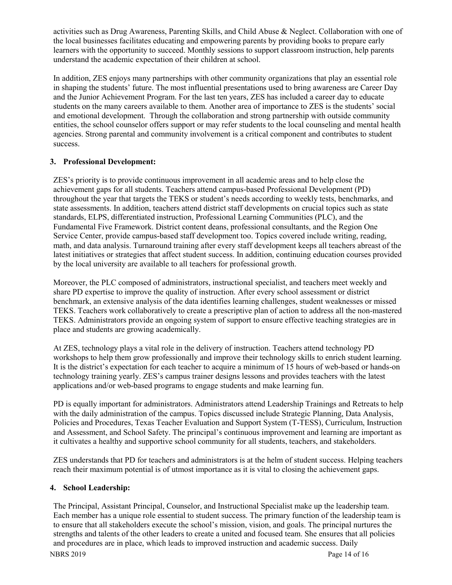activities such as Drug Awareness, Parenting Skills, and Child Abuse & Neglect. Collaboration with one of the local businesses facilitates educating and empowering parents by providing books to prepare early learners with the opportunity to succeed. Monthly sessions to support classroom instruction, help parents understand the academic expectation of their children at school.

In addition, ZES enjoys many partnerships with other community organizations that play an essential role in shaping the students' future. The most influential presentations used to bring awareness are Career Day and the Junior Achievement Program. For the last ten years, ZES has included a career day to educate students on the many careers available to them. Another area of importance to ZES is the students' social and emotional development. Through the collaboration and strong partnership with outside community entities, the school counselor offers support or may refer students to the local counseling and mental health agencies. Strong parental and community involvement is a critical component and contributes to student success.

# **3. Professional Development:**

ZES's priority is to provide continuous improvement in all academic areas and to help close the achievement gaps for all students. Teachers attend campus-based Professional Development (PD) throughout the year that targets the TEKS or student's needs according to weekly tests, benchmarks, and state assessments. In addition, teachers attend district staff developments on crucial topics such as state standards, ELPS, differentiated instruction, Professional Learning Communities (PLC), and the Fundamental Five Framework. District content deans, professional consultants, and the Region One Service Center, provide campus-based staff development too. Topics covered include writing, reading, math, and data analysis. Turnaround training after every staff development keeps all teachers abreast of the latest initiatives or strategies that affect student success. In addition, continuing education courses provided by the local university are available to all teachers for professional growth.

Moreover, the PLC composed of administrators, instructional specialist, and teachers meet weekly and share PD expertise to improve the quality of instruction. After every school assessment or district benchmark, an extensive analysis of the data identifies learning challenges, student weaknesses or missed TEKS. Teachers work collaboratively to create a prescriptive plan of action to address all the non-mastered TEKS. Administrators provide an ongoing system of support to ensure effective teaching strategies are in place and students are growing academically.

At ZES, technology plays a vital role in the delivery of instruction. Teachers attend technology PD workshops to help them grow professionally and improve their technology skills to enrich student learning. It is the district's expectation for each teacher to acquire a minimum of 15 hours of web-based or hands-on technology training yearly. ZES's campus trainer designs lessons and provides teachers with the latest applications and/or web-based programs to engage students and make learning fun.

PD is equally important for administrators. Administrators attend Leadership Trainings and Retreats to help with the daily administration of the campus. Topics discussed include Strategic Planning, Data Analysis, Policies and Procedures, Texas Teacher Evaluation and Support System (T-TESS), Curriculum, Instruction and Assessment, and School Safety. The principal's continuous improvement and learning are important as it cultivates a healthy and supportive school community for all students, teachers, and stakeholders.

ZES understands that PD for teachers and administrators is at the helm of student success. Helping teachers reach their maximum potential is of utmost importance as it is vital to closing the achievement gaps.

# **4. School Leadership:**

The Principal, Assistant Principal, Counselor, and Instructional Specialist make up the leadership team. Each member has a unique role essential to student success. The primary function of the leadership team is to ensure that all stakeholders execute the school's mission, vision, and goals. The principal nurtures the strengths and talents of the other leaders to create a united and focused team. She ensures that all policies and procedures are in place, which leads to improved instruction and academic success. Daily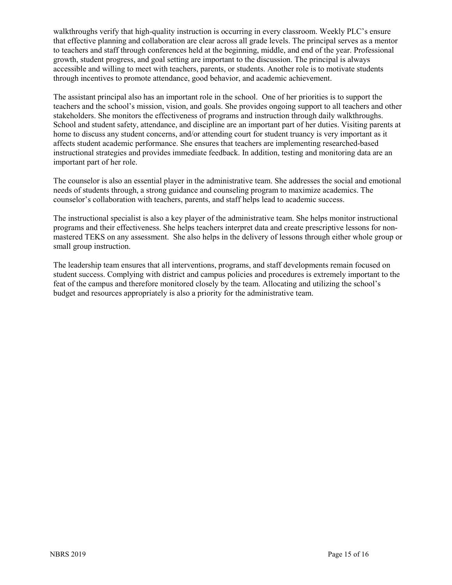walkthroughs verify that high-quality instruction is occurring in every classroom. Weekly PLC's ensure that effective planning and collaboration are clear across all grade levels. The principal serves as a mentor to teachers and staff through conferences held at the beginning, middle, and end of the year. Professional growth, student progress, and goal setting are important to the discussion. The principal is always accessible and willing to meet with teachers, parents, or students. Another role is to motivate students through incentives to promote attendance, good behavior, and academic achievement.

The assistant principal also has an important role in the school. One of her priorities is to support the teachers and the school's mission, vision, and goals. She provides ongoing support to all teachers and other stakeholders. She monitors the effectiveness of programs and instruction through daily walkthroughs. School and student safety, attendance, and discipline are an important part of her duties. Visiting parents at home to discuss any student concerns, and/or attending court for student truancy is very important as it affects student academic performance. She ensures that teachers are implementing researched-based instructional strategies and provides immediate feedback. In addition, testing and monitoring data are an important part of her role.

The counselor is also an essential player in the administrative team. She addresses the social and emotional needs of students through, a strong guidance and counseling program to maximize academics. The counselor's collaboration with teachers, parents, and staff helps lead to academic success.

The instructional specialist is also a key player of the administrative team. She helps monitor instructional programs and their effectiveness. She helps teachers interpret data and create prescriptive lessons for nonmastered TEKS on any assessment. She also helps in the delivery of lessons through either whole group or small group instruction.

The leadership team ensures that all interventions, programs, and staff developments remain focused on student success. Complying with district and campus policies and procedures is extremely important to the feat of the campus and therefore monitored closely by the team. Allocating and utilizing the school's budget and resources appropriately is also a priority for the administrative team.